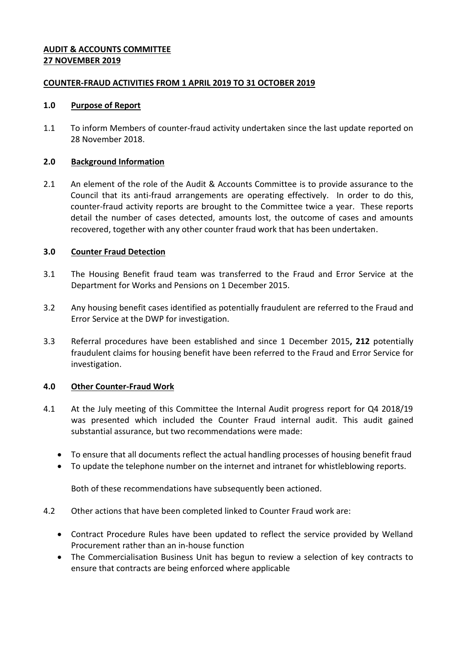## **AUDIT & ACCOUNTS COMMITTEE 27 NOVEMBER 2019**

## **COUNTER-FRAUD ACTIVITIES FROM 1 APRIL 2019 TO 31 OCTOBER 2019**

### **1.0 Purpose of Report**

1.1 To inform Members of counter-fraud activity undertaken since the last update reported on 28 November 2018.

### **2.0 Background Information**

2.1 An element of the role of the Audit & Accounts Committee is to provide assurance to the Council that its anti-fraud arrangements are operating effectively. In order to do this, counter-fraud activity reports are brought to the Committee twice a year. These reports detail the number of cases detected, amounts lost, the outcome of cases and amounts recovered, together with any other counter fraud work that has been undertaken.

### **3.0 Counter Fraud Detection**

- 3.1 The Housing Benefit fraud team was transferred to the Fraud and Error Service at the Department for Works and Pensions on 1 December 2015.
- 3.2 Any housing benefit cases identified as potentially fraudulent are referred to the Fraud and Error Service at the DWP for investigation.
- 3.3 Referral procedures have been established and since 1 December 2015**, 212** potentially fraudulent claims for housing benefit have been referred to the Fraud and Error Service for investigation.

## **4.0 Other Counter-Fraud Work**

- 4.1 At the July meeting of this Committee the Internal Audit progress report for Q4 2018/19 was presented which included the Counter Fraud internal audit. This audit gained substantial assurance, but two recommendations were made:
	- To ensure that all documents reflect the actual handling processes of housing benefit fraud
	- To update the telephone number on the internet and intranet for whistleblowing reports.

Both of these recommendations have subsequently been actioned.

- 4.2 Other actions that have been completed linked to Counter Fraud work are:
	- Contract Procedure Rules have been updated to reflect the service provided by Welland Procurement rather than an in-house function
	- The Commercialisation Business Unit has begun to review a selection of key contracts to ensure that contracts are being enforced where applicable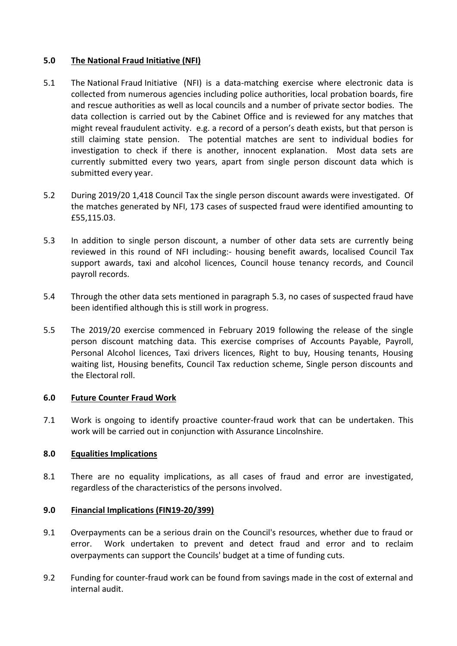# **5.0 The National Fraud Initiative (NFI)**

- 5.1 The National Fraud Initiative (NFI) is a data-matching exercise where electronic data is collected from numerous agencies including police authorities, local probation boards, fire and rescue authorities as well as local councils and a number of private sector bodies. The data collection is carried out by the Cabinet Office and is reviewed for any matches that might reveal fraudulent activity. e.g. a record of a person's death exists, but that person is still claiming state pension. The potential matches are sent to individual bodies for investigation to check if there is another, innocent explanation. Most data sets are currently submitted every two years, apart from single person discount data which is submitted every year.
- 5.2 During 2019/20 1,418 Council Tax the single person discount awards were investigated. Of the matches generated by NFI, 173 cases of suspected fraud were identified amounting to £55,115.03.
- 5.3 In addition to single person discount, a number of other data sets are currently being reviewed in this round of NFI including:- housing benefit awards, localised Council Tax support awards, taxi and alcohol licences, Council house tenancy records, and Council payroll records.
- 5.4 Through the other data sets mentioned in paragraph 5.3, no cases of suspected fraud have been identified although this is still work in progress.
- 5.5 The 2019/20 exercise commenced in February 2019 following the release of the single person discount matching data. This exercise comprises of Accounts Payable, Payroll, Personal Alcohol licences, Taxi drivers licences, Right to buy, Housing tenants, Housing waiting list, Housing benefits, Council Tax reduction scheme, Single person discounts and the Electoral roll.

### **6.0 Future Counter Fraud Work**

7.1 Work is ongoing to identify proactive counter-fraud work that can be undertaken. This work will be carried out in conjunction with Assurance Lincolnshire.

### **8.0 Equalities Implications**

8.1 There are no equality implications, as all cases of fraud and error are investigated, regardless of the characteristics of the persons involved.

### **9.0 Financial Implications (FIN19-20/399)**

- 9.1 Overpayments can be a serious drain on the Council's resources, whether due to fraud or error. Work undertaken to prevent and detect fraud and error and to reclaim overpayments can support the Councils' budget at a time of funding cuts.
- 9.2 Funding for counter-fraud work can be found from savings made in the cost of external and internal audit.